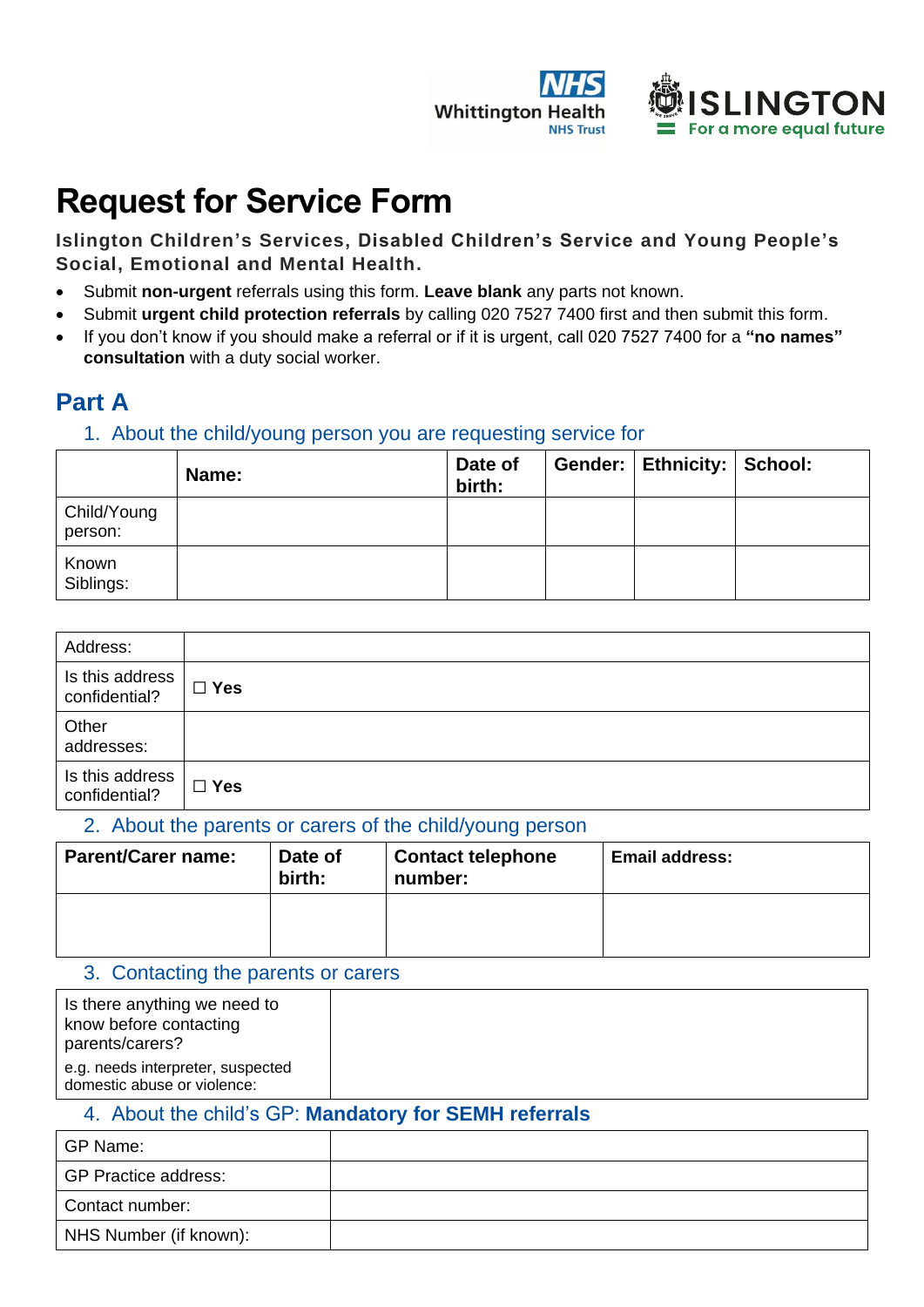



## **Request for Service Form**

**Islington Children's Services, Disabled Children's Service and Young People's Social, Emotional and Mental Health.**

- Submit **non-urgent** referrals using this form. **Leave blank** any parts not known.
- Submit **urgent child protection referrals** by calling 020 7527 7400 first and then submit this form.
- If you don't know if you should make a referral or if it is urgent, call 020 7527 7400 for a **"no names" consultation** with a duty social worker.

## **Part A**

### 1. About the child/young person you are requesting service for

|                        | Name: | Date of<br>birth: | Gender:   Ethnicity:   School: |  |
|------------------------|-------|-------------------|--------------------------------|--|
| Child/Young<br>person: |       |                   |                                |  |
| Known<br>Siblings:     |       |                   |                                |  |

| Address:                         |            |
|----------------------------------|------------|
| Is this address<br>confidential? | $\Box$ Yes |
| Other<br>addresses:              |            |
| Is this address<br>confidential? | $\Box$ Yes |

#### 2. About the parents or carers of the child/young person

| <b>Parent/Carer name:</b> | Date of<br>birth: | <b>Contact telephone</b><br>number: | <b>Email address:</b> |
|---------------------------|-------------------|-------------------------------------|-----------------------|
|                           |                   |                                     |                       |

#### 3. Contacting the parents or carers

| Is there anything we need to<br>know before contacting<br>parents/carers? |  |
|---------------------------------------------------------------------------|--|
| e.g. needs interpreter, suspected<br>domestic abuse or violence:          |  |

## 4. About the child's GP: **Mandatory for SEMH referrals**

| GP Name:                    |  |
|-----------------------------|--|
| <b>GP Practice address:</b> |  |
| Contact number:             |  |
| NHS Number (if known):      |  |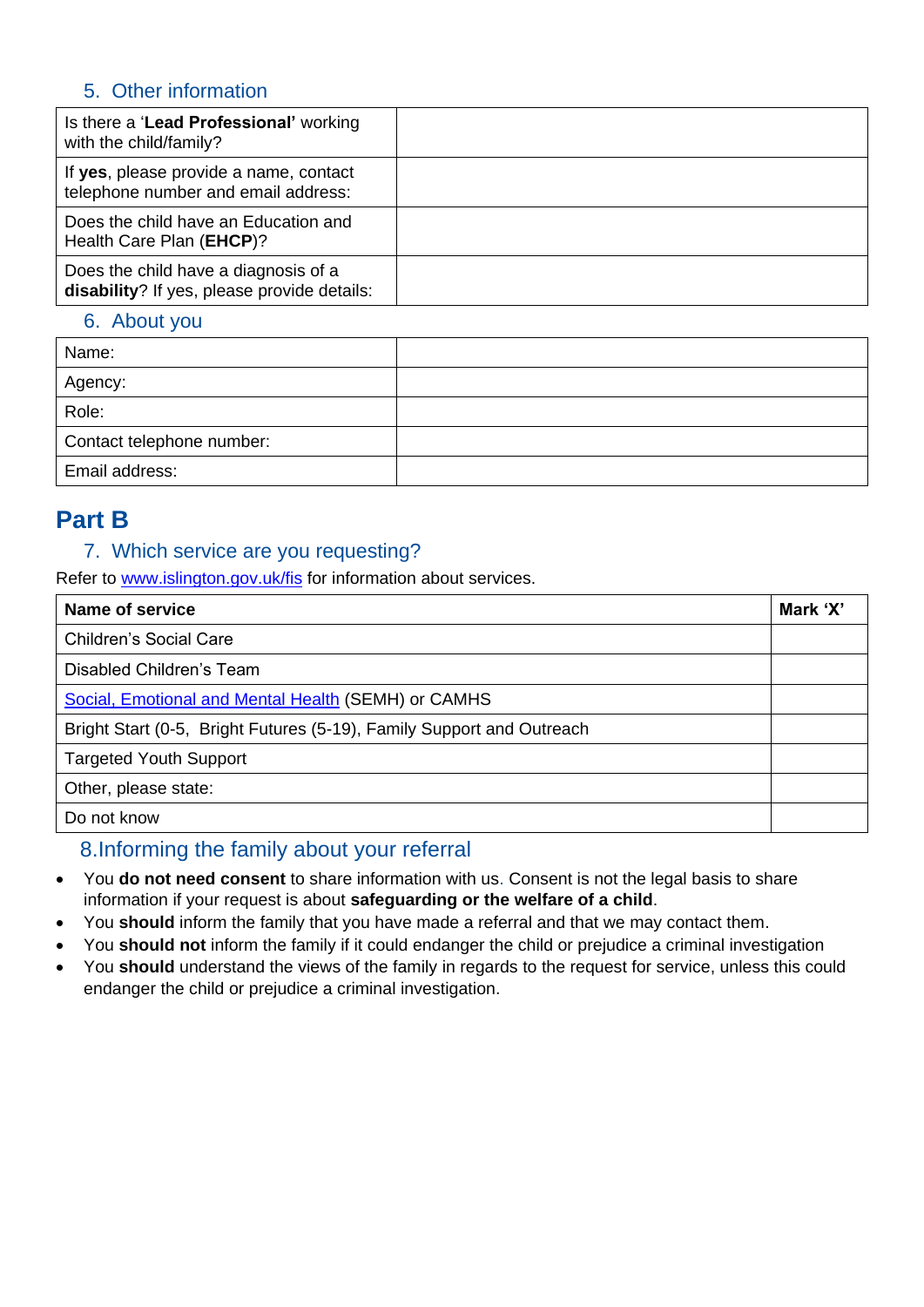## 5. Other information

| Is there a 'Lead Professional' working<br>with the child/family?                    |  |
|-------------------------------------------------------------------------------------|--|
| If yes, please provide a name, contact<br>telephone number and email address:       |  |
| Does the child have an Education and<br>Health Care Plan (EHCP)?                    |  |
| Does the child have a diagnosis of a<br>disability? If yes, please provide details: |  |

## 6. About you

| Name:                     |  |
|---------------------------|--|
| Agency:                   |  |
| Role:                     |  |
| Contact telephone number: |  |
| Email address:            |  |
|                           |  |

## **Part B**

## 7. Which service are you requesting?

Refer to [www.islington.gov.uk/fis](http://www.islington.gov.uk/fis) for information about services.

| Name of service                                                       |  |
|-----------------------------------------------------------------------|--|
| Children's Social Care                                                |  |
| Disabled Children's Team                                              |  |
| Social, Emotional and Mental Health (SEMH) or CAMHS                   |  |
| Bright Start (0-5, Bright Futures (5-19), Family Support and Outreach |  |
| <b>Targeted Youth Support</b>                                         |  |
| Other, please state:                                                  |  |
| Do not know                                                           |  |

## 8.Informing the family about your referral

- You **do not need consent** to share information with us. Consent is not the legal basis to share information if your request is about **safeguarding or the welfare of a child**.
- You **should** inform the family that you have made a referral and that we may contact them.
- You **should not** inform the family if it could endanger the child or prejudice a criminal investigation
- You **should** understand the views of the family in regards to the request for service, unless this could endanger the child or prejudice a criminal investigation.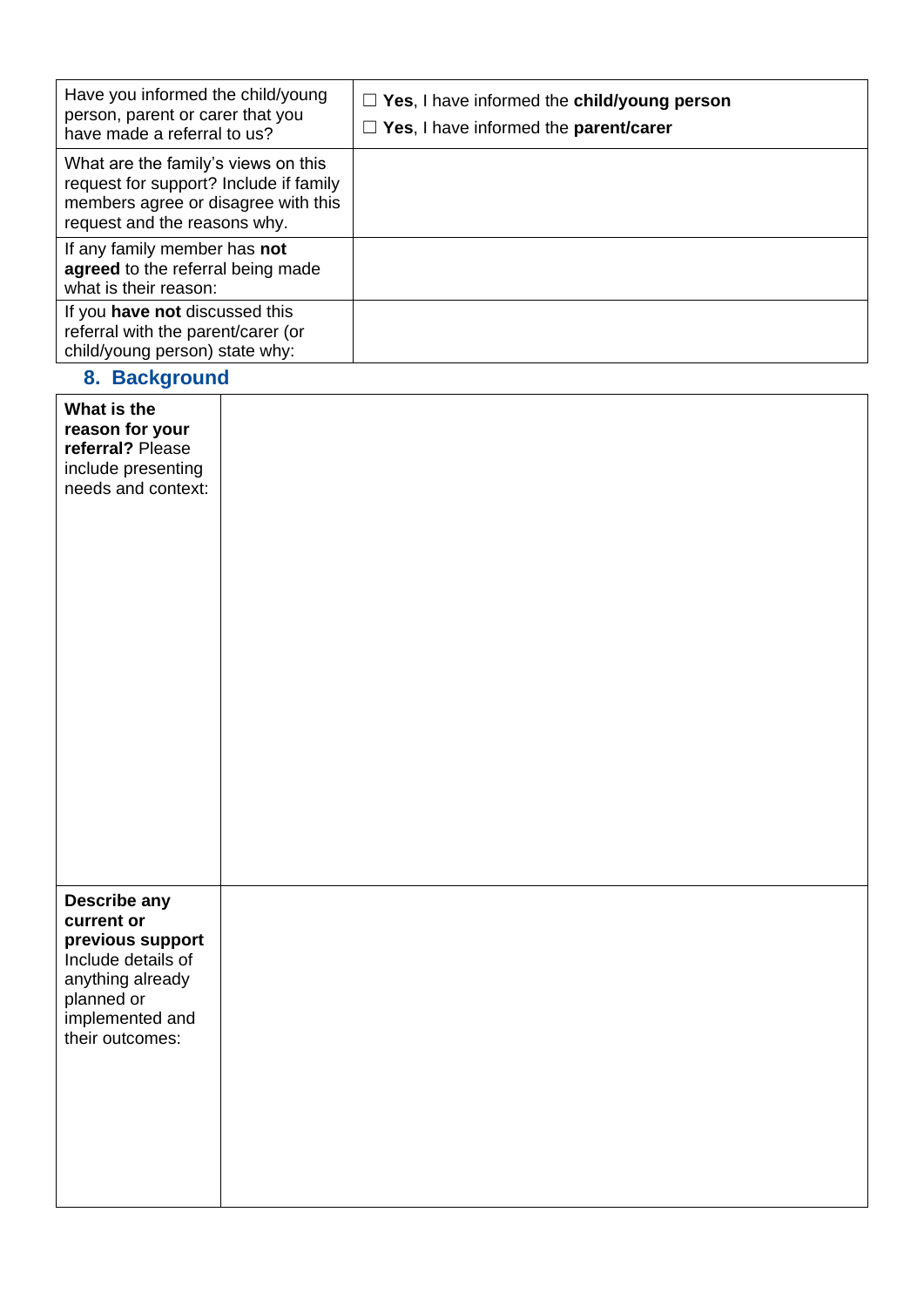| Have you informed the child/young<br>person, parent or carer that you<br>have made a referral to us?                                                 | $\Box$ Yes, I have informed the child/young person<br>$\Box$ Yes, I have informed the parent/carer |
|------------------------------------------------------------------------------------------------------------------------------------------------------|----------------------------------------------------------------------------------------------------|
| What are the family's views on this<br>request for support? Include if family<br>members agree or disagree with this<br>request and the reasons why. |                                                                                                    |
| If any family member has not<br>agreed to the referral being made<br>what is their reason:                                                           |                                                                                                    |
| If you have not discussed this<br>referral with the parent/carer (or<br>child/young person) state why:                                               |                                                                                                    |

# **8. Background What is the reason for your referral?** Please include presenting needs and context: **Describe any current or previous support** Include details of anything already planned or implemented and their outcomes: